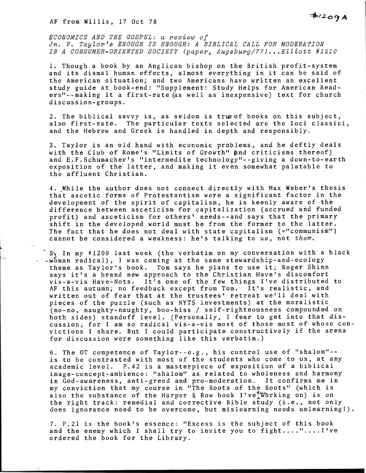ECONOMICS AND THE GOSPEL: a review of Jn. V. Taylor's ENOUGH IS ENOUGH: A BIBLICAL CALL FOR MODERATION IN A CONSUMER-ORIENTED SOCIETY (paper, Augsburg/77)...Elliott #1210

1. Though a book by an Anglican bishop on the British profit-system and its dismal human effects, almost everything in it can be said of the American situation; and two Americans have written an excellent study guide at book-end: "Supplement: Study Helps for American Readers"--making it a first-rate (as well as inexpensive) text for church discussion-groups.

2. The biblical savvy is, as seldom is true of books on this subject, also first-rate. The particular texts selected are the loci classici, and the Hebrew and Greek is handled in depth and responsibly.

3. Taylor is an old hand with economic problems, and he deftly deals with the Club of Rome's "Limits of Growth" and criticisms thereof) and E.F.Schumacher's "intermedite technology"--giving a down-to-earth exposition of the latter, and making it even somewhat palatable to the affluent Christian.

4. While the author does not connect directly with Max Weber's thesis that ascetic forms of Protestantism were a significant factor in the development of the spirit of capitalism, he is keenly aware of the difference between asceticism for capitalization (accrued and funded profit) and asceticism for others' needs--and says that the primary shift in the developed world must be from the former to the latter. The fact that he does not deal with state capitalism (="communism") cannot be considered a weakness: he's talking to us, not them.

3\ In my #1209 last week (the verbatim on my conversation with a black  $\sim$ woman radical), I was coming at the same stewardship-and-ecology theme as Taylor's book. Tom says he plans to use it; Roger Shinn says it's a brand new approach to the Christian Have's discomfort vis-a-vis Have-Nots. It's one of the few things I've distributed to AF this autumn; no feedback except from Tom. It's realistic, and written out of fear that at the trustees' retreat we'll deal with pieces of the puzzle (such as NYTS investments) at the moralistic (no-no, naughty-naughty, boo-hiss / self-righteousness compounded on both sides) standoff level. (Personally, I fear to get into that discussion, for I am so radical vis-a-vis most of those most of whose convictions I share. But I could participate constructively if the arena for discussion were something like this verbatim.)

6. The OT competence of Taylor--e.g., his control use of "shalom"- is to be contrasted with most of the students who come to us, at any academic level. P.42 is a masterpiece of exposition of a biblical image-concept-ambience: "shalom" as related to wholeness and harmony in God-awareness, anti-greed and pro-moderation. It confirms me in my conviction that my course in "The Roots of the Roots" (which is also the substance of the Harper & Row book I've<sup>tworking</sup> on) is on the right track: remedial and corrective Bible study (i.e., not only does ignorance need to be overcome, but mislearning needs unlearning!).

7. P.21 is the book's essence: "Excess is the subject of this book and the enemy which I shall try to invite you to fight...."....I've ordered the book for the Library.